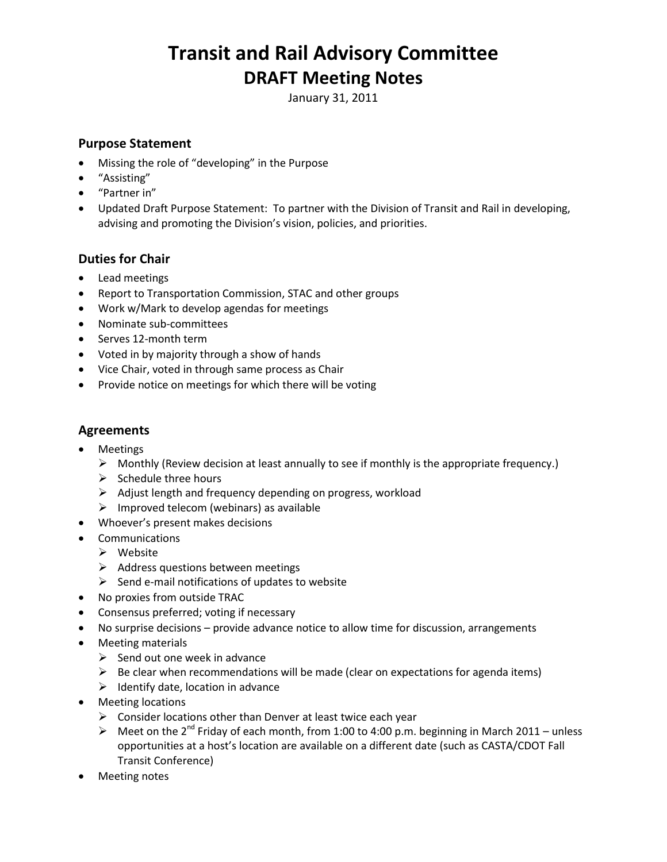# **Transit and Rail Advisory Committee DRAFT Meeting Notes**

January 31, 2011

### **Purpose Statement**

- Missing the role of "developing" in the Purpose
- "Assisting"
- "Partner in"
- Updated Draft Purpose Statement: To partner with the Division of Transit and Rail in developing, advising and promoting the Division's vision, policies, and priorities.

### **Duties for Chair**

- Lead meetings
- Report to Transportation Commission, STAC and other groups
- Work w/Mark to develop agendas for meetings
- Nominate sub-committees
- Serves 12-month term
- Voted in by majority through a show of hands
- Vice Chair, voted in through same process as Chair
- Provide notice on meetings for which there will be voting

#### **Agreements**

- Meetings
	- $\triangleright$  Monthly (Review decision at least annually to see if monthly is the appropriate frequency.)
	- $\triangleright$  Schedule three hours
	- $\triangleright$  Adjust length and frequency depending on progress, workload
	- $\triangleright$  Improved telecom (webinars) as available
- Whoever's present makes decisions
- Communications
	- $\triangleright$  Website
	- $\triangleright$  Address questions between meetings
	- $\triangleright$  Send e-mail notifications of updates to website
- No proxies from outside TRAC
- Consensus preferred; voting if necessary
- No surprise decisions provide advance notice to allow time for discussion, arrangements
- Meeting materials
	- $\triangleright$  Send out one week in advance
	- $\triangleright$  Be clear when recommendations will be made (clear on expectations for agenda items)
	- $\triangleright$  Identify date, location in advance
- Meeting locations
	- $\triangleright$  Consider locations other than Denver at least twice each year
	- A Meet on the 2<sup>nd</sup> Friday of each month, from 1:00 to 4:00 p.m. beginning in March 2011 unless opportunities at a host's location are available on a different date (such as CASTA/CDOT Fall Transit Conference)
- Meeting notes